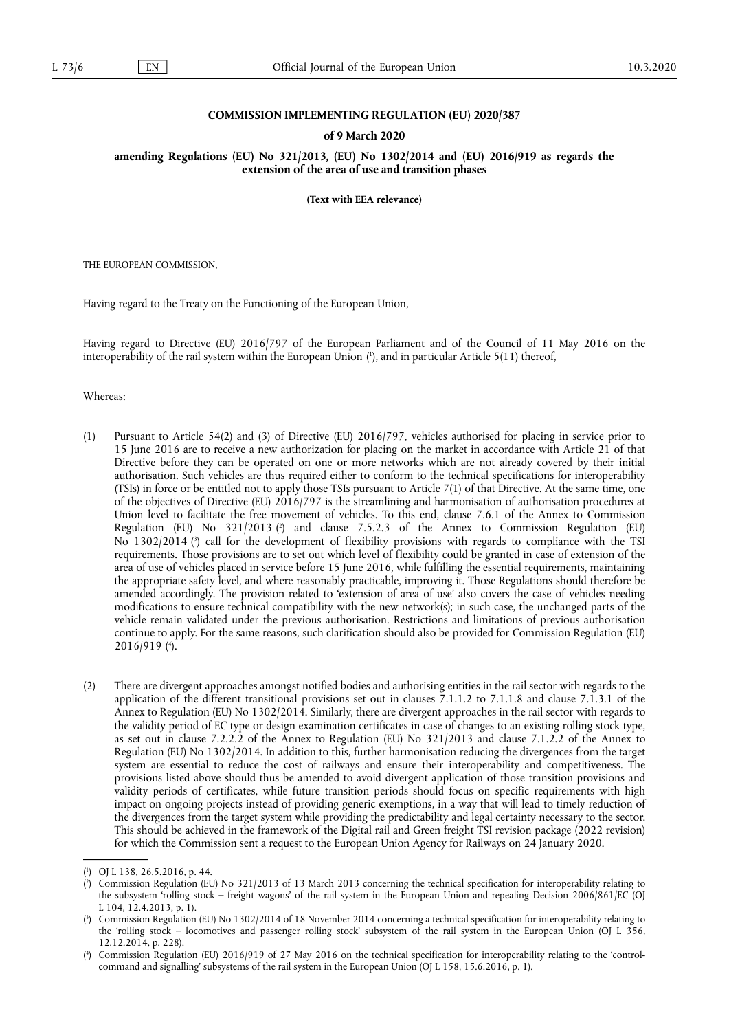### **COMMISSION IMPLEMENTING REGULATION (EU) 2020/387**

### **of 9 March 2020**

**amending Regulations (EU) No 321/2013, (EU) No 1302/2014 and (EU) 2016/919 as regards the extension of the area of use and transition phases** 

**(Text with EEA relevance)** 

THE EUROPEAN COMMISSION,

Having regard to the Treaty on the Functioning of the European Union,

Having regard to Directive (EU) 2016/797 of the European Parliament and of the Council of 11 May 2016 on the interoperability of the rail system within the European Union ( 1 ), and in particular Article 5(11) thereof,

Whereas:

- (1) Pursuant to Article 54(2) and (3) of Directive (EU) 2016/797, vehicles authorised for placing in service prior to 15 June 2016 are to receive a new authorization for placing on the market in accordance with Article 21 of that Directive before they can be operated on one or more networks which are not already covered by their initial authorisation. Such vehicles are thus required either to conform to the technical specifications for interoperability (TSIs) in force or be entitled not to apply those TSIs pursuant to Article 7(1) of that Directive. At the same time, one of the objectives of Directive (EU) 2016/797 is the streamlining and harmonisation of authorisation procedures at Union level to facilitate the free movement of vehicles. To this end, clause 7.6.1 of the Annex to Commission Regulation (EU) No 321/2013 ( 2 ) and clause 7.5.2.3 of the Annex to Commission Regulation (EU) No 1302/2014 ( 3 ) call for the development of flexibility provisions with regards to compliance with the TSI requirements. Those provisions are to set out which level of flexibility could be granted in case of extension of the area of use of vehicles placed in service before 15 June 2016, while fulfilling the essential requirements, maintaining the appropriate safety level, and where reasonably practicable, improving it. Those Regulations should therefore be amended accordingly. The provision related to 'extension of area of use' also covers the case of vehicles needing modifications to ensure technical compatibility with the new network(s); in such case, the unchanged parts of the vehicle remain validated under the previous authorisation. Restrictions and limitations of previous authorisation continue to apply. For the same reasons, such clarification should also be provided for Commission Regulation (EU) 2016/919 ( 4 ).
- (2) There are divergent approaches amongst notified bodies and authorising entities in the rail sector with regards to the application of the different transitional provisions set out in clauses 7.1.1.2 to 7.1.1.8 and clause 7.1.3.1 of the Annex to Regulation (EU) No 1302/2014. Similarly, there are divergent approaches in the rail sector with regards to the validity period of EC type or design examination certificates in case of changes to an existing rolling stock type, as set out in clause 7.2.2.2 of the Annex to Regulation (EU) No 321/2013 and clause 7.1.2.2 of the Annex to Regulation (EU) No 1302/2014. In addition to this, further harmonisation reducing the divergences from the target system are essential to reduce the cost of railways and ensure their interoperability and competitiveness. The provisions listed above should thus be amended to avoid divergent application of those transition provisions and validity periods of certificates, while future transition periods should focus on specific requirements with high impact on ongoing projects instead of providing generic exemptions, in a way that will lead to timely reduction of the divergences from the target system while providing the predictability and legal certainty necessary to the sector. This should be achieved in the framework of the Digital rail and Green freight TSI revision package (2022 revision) for which the Commission sent a request to the European Union Agency for Railways on 24 January 2020.

<sup>(</sup> 1 ) OJ L 138, 26.5.2016, p. 44.

<sup>(</sup> 2 ) Commission Regulation (EU) No 321/2013 of 13 March 2013 concerning the technical specification for interoperability relating to the subsystem 'rolling stock – freight wagons' of the rail system in the European Union and repealing Decision 2006/861/EC (OJ L 104, 12.4.2013, p. 1).

<sup>(</sup> 3 ) Commission Regulation (EU) No 1302/2014 of 18 November 2014 concerning a technical specification for interoperability relating to the 'rolling stock – locomotives and passenger rolling stock' subsystem of the rail system in the European Union (OJ L 356, 12.12.2014, p. 228).

<sup>(</sup> 4 ) Commission Regulation (EU) 2016/919 of 27 May 2016 on the technical specification for interoperability relating to the 'controlcommand and signalling' subsystems of the rail system in the European Union (OJ L 158, 15.6.2016, p. 1).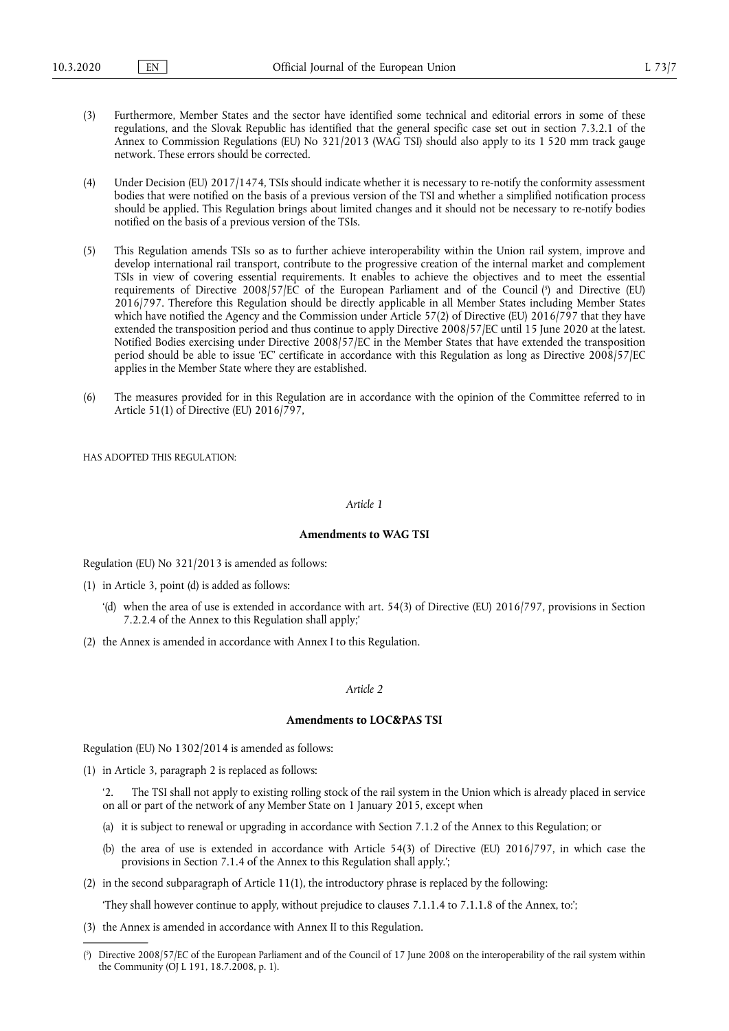- (3) Furthermore, Member States and the sector have identified some technical and editorial errors in some of these regulations, and the Slovak Republic has identified that the general specific case set out in section 7.3.2.1 of the Annex to Commission Regulations (EU) No 321/2013 (WAG TSI) should also apply to its 1 520 mm track gauge network. These errors should be corrected.
- (4) Under Decision (EU) 2017/1474, TSIs should indicate whether it is necessary to re-notify the conformity assessment bodies that were notified on the basis of a previous version of the TSI and whether a simplified notification process should be applied. This Regulation brings about limited changes and it should not be necessary to re-notify bodies notified on the basis of a previous version of the TSIs.
- (5) This Regulation amends TSIs so as to further achieve interoperability within the Union rail system, improve and develop international rail transport, contribute to the progressive creation of the internal market and complement TSIs in view of covering essential requirements. It enables to achieve the objectives and to meet the essential requirements of Directive 2008/57/EC of the European Parliament and of the Council ( 5 ) and Directive (EU) 2016/797. Therefore this Regulation should be directly applicable in all Member States including Member States which have notified the Agency and the Commission under Article 57(2) of Directive (EU) 2016/797 that they have extended the transposition period and thus continue to apply Directive 2008/57/EC until 15 June 2020 at the latest. Notified Bodies exercising under Directive 2008/57/EC in the Member States that have extended the transposition period should be able to issue 'EC' certificate in accordance with this Regulation as long as Directive 2008/57/EC applies in the Member State where they are established.
- (6) The measures provided for in this Regulation are in accordance with the opinion of the Committee referred to in Article 51(1) of Directive (EU) 2016/797,

HAS ADOPTED THIS REGULATION:

### *Article 1*

### **Amendments to WAG TSI**

Regulation (EU) No 321/2013 is amended as follows:

- (1) in Article 3, point (d) is added as follows:
	- '(d) when the area of use is extended in accordance with art. 54(3) of Directive (EU) 2016/797, provisions in Section 7.2.2.4 of the Annex to this Regulation shall apply;'
- (2) the Annex is amended in accordance with Annex I to this Regulation.

### *Article 2*

# **Amendments to LOC&PAS TSI**

Regulation (EU) No 1302/2014 is amended as follows:

- (1) in Article 3, paragraph 2 is replaced as follows:
	- The TSI shall not apply to existing rolling stock of the rail system in the Union which is already placed in service on all or part of the network of any Member State on 1 January 2015, except when
	- (a) it is subject to renewal or upgrading in accordance with Section 7.1.2 of the Annex to this Regulation; or
	- (b) the area of use is extended in accordance with Article 54(3) of Directive (EU) 2016/797, in which case the provisions in Section 7.1.4 of the Annex to this Regulation shall apply.';
- (2) in the second subparagraph of Article 11(1), the introductory phrase is replaced by the following:

'They shall however continue to apply, without prejudice to clauses 7.1.1.4 to 7.1.1.8 of the Annex, to:';

- (3) the Annex is amended in accordance with Annex II to this Regulation.
- ( 5 ) Directive 2008/57/EC of the European Parliament and of the Council of 17 June 2008 on the interoperability of the rail system within the Community (OJ L 191, 18.7.2008, p. 1).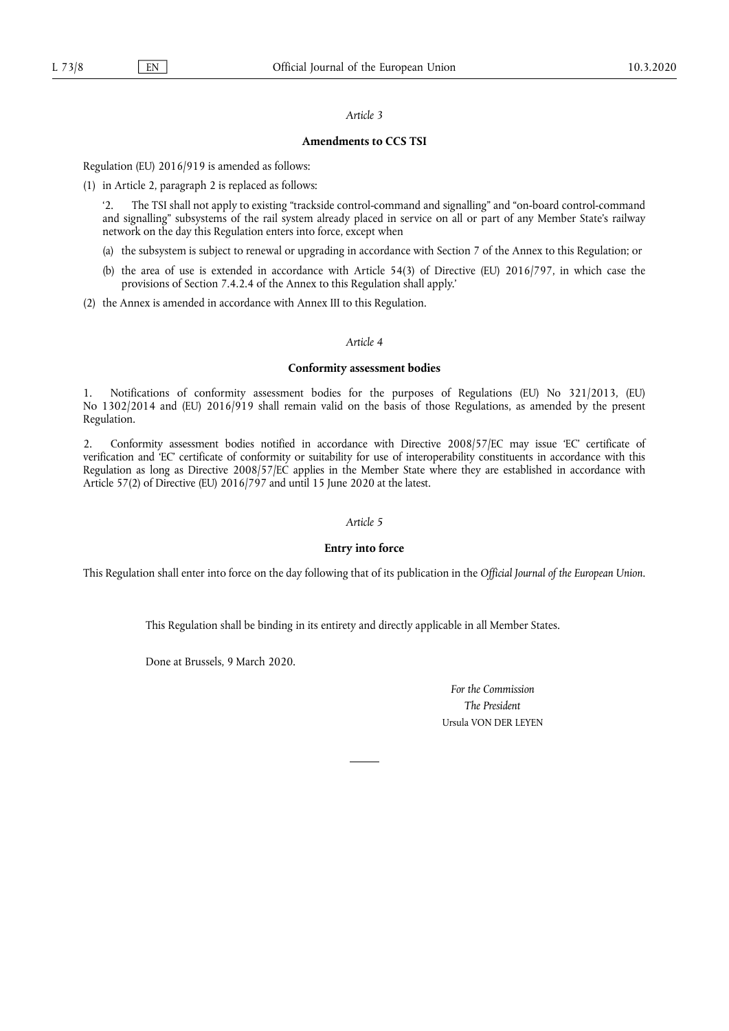### *Article 3*

### **Amendments to CCS TSI**

Regulation (EU) 2016/919 is amended as follows:

(1) in Article 2, paragraph 2 is replaced as follows:

'2. The TSI shall not apply to existing "trackside control-command and signalling" and "on-board control-command and signalling" subsystems of the rail system already placed in service on all or part of any Member State's railway network on the day this Regulation enters into force, except when

- (a) the subsystem is subject to renewal or upgrading in accordance with Section 7 of the Annex to this Regulation; or
- (b) the area of use is extended in accordance with Article 54(3) of Directive (EU) 2016/797, in which case the provisions of Section 7.4.2.4 of the Annex to this Regulation shall apply.'

(2) the Annex is amended in accordance with Annex III to this Regulation.

## *Article 4*

### **Conformity assessment bodies**

1. Notifications of conformity assessment bodies for the purposes of Regulations (EU) No 321/2013, (EU) No 1302/2014 and (EU) 2016/919 shall remain valid on the basis of those Regulations, as amended by the present Regulation.

2. Conformity assessment bodies notified in accordance with Directive 2008/57/EC may issue 'EC' certificate of verification and 'EC' certificate of conformity or suitability for use of interoperability constituents in accordance with this Regulation as long as Directive 2008/57/EC applies in the Member State where they are established in accordance with Article 57(2) of Directive (EU) 2016/797 and until 15 June 2020 at the latest.

### *Article 5*

### **Entry into force**

This Regulation shall enter into force on the day following that of its publication in the *Official Journal of the European Union*.

This Regulation shall be binding in its entirety and directly applicable in all Member States.

Done at Brussels, 9 March 2020.

*For the Commission The President*  Ursula VON DER LEYEN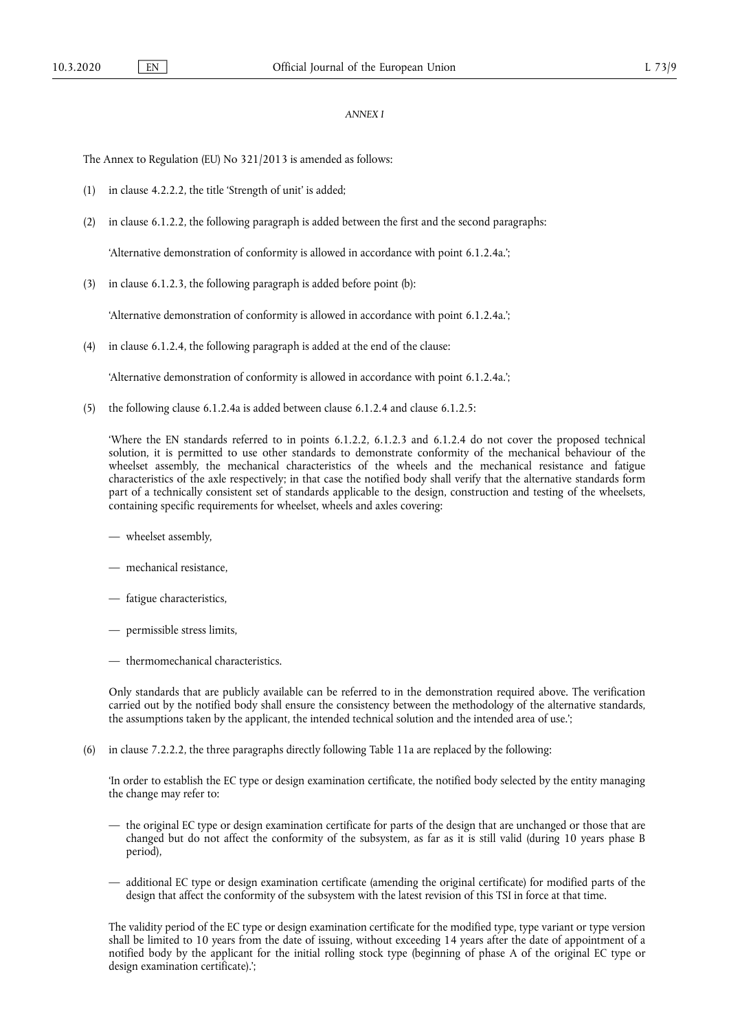### *ANNEX I*

The Annex to Regulation (EU) No 321/2013 is amended as follows:

- (1) in clause 4.2.2.2, the title 'Strength of unit' is added;
- (2) in clause 6.1.2.2, the following paragraph is added between the first and the second paragraphs:

'Alternative demonstration of conformity is allowed in accordance with point 6.1.2.4a.';

(3) in clause 6.1.2.3, the following paragraph is added before point (b):

'Alternative demonstration of conformity is allowed in accordance with point 6.1.2.4a.';

(4) in clause 6.1.2.4, the following paragraph is added at the end of the clause:

'Alternative demonstration of conformity is allowed in accordance with point 6.1.2.4a.';

(5) the following clause 6.1.2.4a is added between clause 6.1.2.4 and clause 6.1.2.5:

'Where the EN standards referred to in points 6.1.2.2, 6.1.2.3 and 6.1.2.4 do not cover the proposed technical solution, it is permitted to use other standards to demonstrate conformity of the mechanical behaviour of the wheelset assembly, the mechanical characteristics of the wheels and the mechanical resistance and fatigue characteristics of the axle respectively; in that case the notified body shall verify that the alternative standards form part of a technically consistent set of standards applicable to the design, construction and testing of the wheelsets, containing specific requirements for wheelset, wheels and axles covering:

- wheelset assembly,
- mechanical resistance,
- fatigue characteristics,
- permissible stress limits,
- thermomechanical characteristics.

Only standards that are publicly available can be referred to in the demonstration required above. The verification carried out by the notified body shall ensure the consistency between the methodology of the alternative standards, the assumptions taken by the applicant, the intended technical solution and the intended area of use.';

(6) in clause 7.2.2.2, the three paragraphs directly following Table 11a are replaced by the following:

'In order to establish the EC type or design examination certificate, the notified body selected by the entity managing the change may refer to:

- the original EC type or design examination certificate for parts of the design that are unchanged or those that are changed but do not affect the conformity of the subsystem, as far as it is still valid (during 10 years phase B period),
- additional EC type or design examination certificate (amending the original certificate) for modified parts of the design that affect the conformity of the subsystem with the latest revision of this TSI in force at that time.

The validity period of the EC type or design examination certificate for the modified type, type variant or type version shall be limited to 10 years from the date of issuing, without exceeding 14 years after the date of appointment of a notified body by the applicant for the initial rolling stock type (beginning of phase A of the original EC type or design examination certificate).';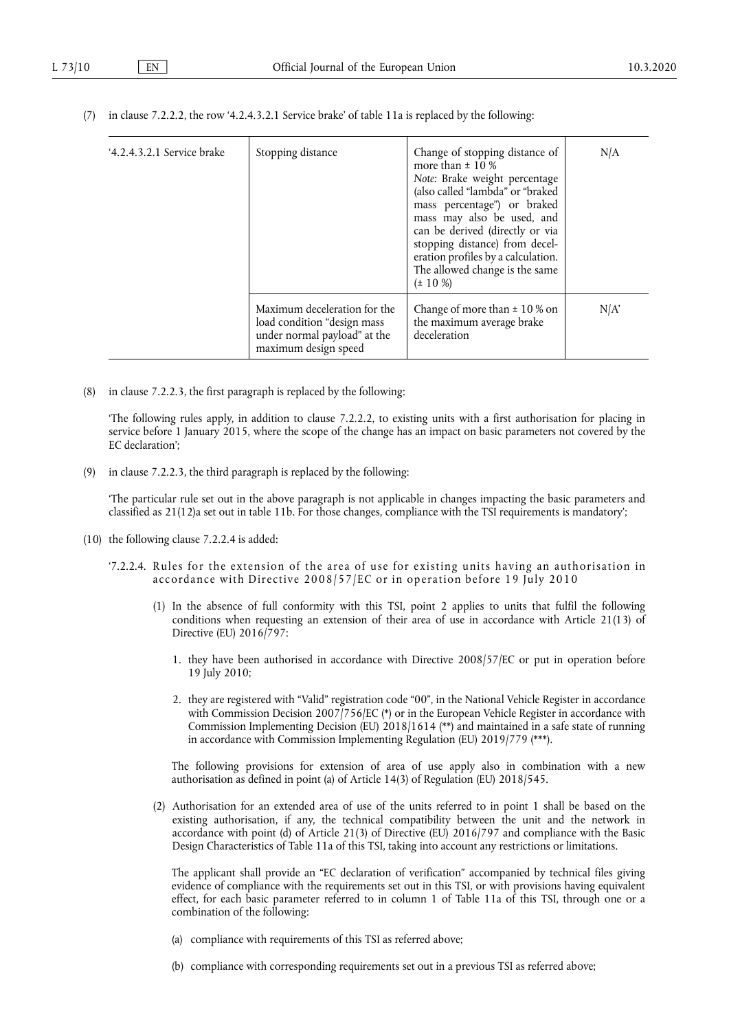(7) in clause 7.2.2.2, the row '4.2.4.3.2.1 Service brake' of table 11a is replaced by the following:

| '4.2.4.3.2.1 Service brake | Stopping distance                                                                                                   | Change of stopping distance of<br>more than $\pm$ 10 %<br>Note: Brake weight percentage<br>(also called "lambda" or "braked<br>mass percentage") or braked<br>mass may also be used, and<br>can be derived (directly or via<br>stopping distance) from decel-<br>eration profiles by a calculation.<br>The allowed change is the same<br>$(\pm 10 \%)$ | N/A  |
|----------------------------|---------------------------------------------------------------------------------------------------------------------|--------------------------------------------------------------------------------------------------------------------------------------------------------------------------------------------------------------------------------------------------------------------------------------------------------------------------------------------------------|------|
|                            | Maximum deceleration for the<br>load condition "design mass<br>under normal payload" at the<br>maximum design speed | Change of more than $\pm$ 10 % on<br>the maximum average brake<br>deceleration                                                                                                                                                                                                                                                                         | N/A' |

(8) in clause 7.2.2.3, the first paragraph is replaced by the following:

'The following rules apply, in addition to clause 7.2.2.2, to existing units with a first authorisation for placing in service before 1 January 2015, where the scope of the change has an impact on basic parameters not covered by the EC declaration';

(9) in clause 7.2.2.3, the third paragraph is replaced by the following:

'The particular rule set out in the above paragraph is not applicable in changes impacting the basic parameters and classified as 21(12)a set out in table 11b. For those changes, compliance with the TSI requirements is mandatory';

- (10) the following clause 7.2.2.4 is added:
	- '7.2.2.4. Rules for the extension of the area of use for existing units having an authorisation in accordance with Directive 2008/57/EC or in operation before 19 July 2010
		- (1) In the absence of full conformity with this TSI, point 2 applies to units that fulfil the following conditions when requesting an extension of their area of use in accordance with Article 21(13) of Directive (EU) 2016/797:
			- 1. they have been authorised in accordance with Directive 2008/57/EC or put in operation before 19 July 2010;
			- 2. they are registered with "Valid" registration code "00", in the National Vehicle Register in accordance with Commission Decision 2007/756/EC (\*) or in the European Vehicle Register in accordance with Commission Implementing Decision (EU) 2018/1614 (\*\*) and maintained in a safe state of running in accordance with Commission Implementing Regulation (EU) 2019/779 (\*\*\*).

The following provisions for extension of area of use apply also in combination with a new authorisation as defined in point (a) of Article 14(3) of Regulation (EU) 2018/545.

(2) Authorisation for an extended area of use of the units referred to in point 1 shall be based on the existing authorisation, if any, the technical compatibility between the unit and the network in accordance with point (d) of Article 21(3) of Directive (EU) 2016/797 and compliance with the Basic Design Characteristics of Table 11a of this TSI, taking into account any restrictions or limitations.

The applicant shall provide an "EC declaration of verification" accompanied by technical files giving evidence of compliance with the requirements set out in this TSI, or with provisions having equivalent effect, for each basic parameter referred to in column 1 of Table 11a of this TSI, through one or a combination of the following:

- (a) compliance with requirements of this TSI as referred above;
- (b) compliance with corresponding requirements set out in a previous TSI as referred above;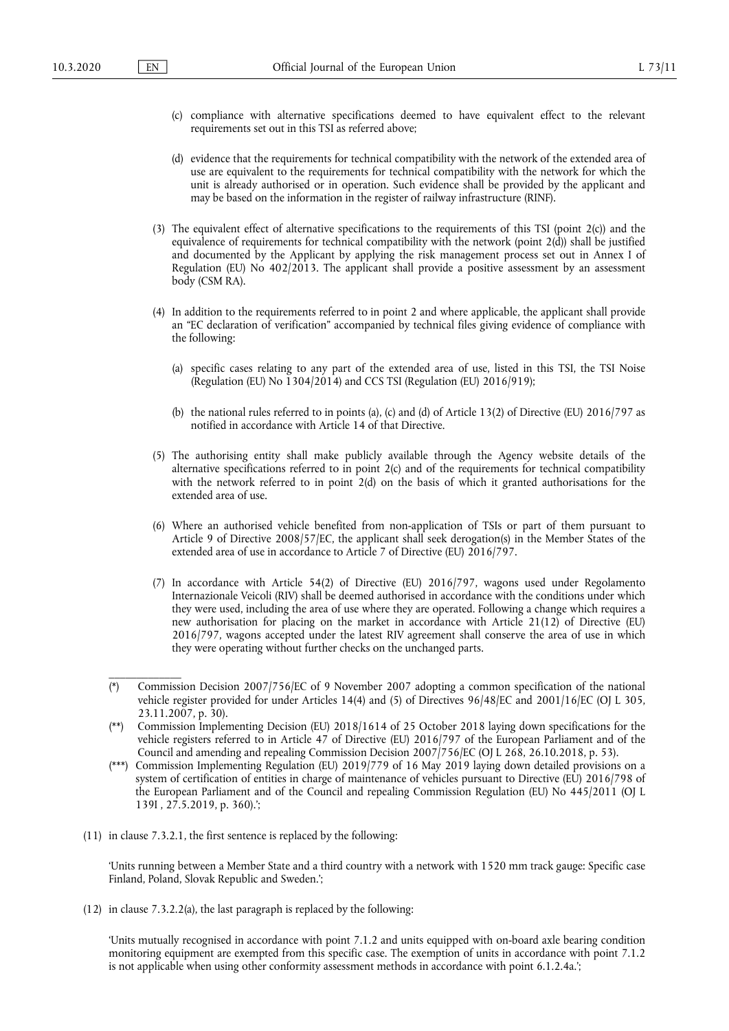$\overline{\phantom{a}}$  . The contract of the contract of  $\overline{\phantom{a}}$ 

- (c) compliance with alternative specifications deemed to have equivalent effect to the relevant requirements set out in this TSI as referred above;
- (d) evidence that the requirements for technical compatibility with the network of the extended area of use are equivalent to the requirements for technical compatibility with the network for which the unit is already authorised or in operation. Such evidence shall be provided by the applicant and may be based on the information in the register of railway infrastructure (RINF).
- (3) The equivalent effect of alternative specifications to the requirements of this TSI (point 2(c)) and the equivalence of requirements for technical compatibility with the network (point  $2(d)$ ) shall be justified and documented by the Applicant by applying the risk management process set out in Annex I of Regulation (EU) No 402/2013. The applicant shall provide a positive assessment by an assessment body (CSM RA).
- (4) In addition to the requirements referred to in point 2 and where applicable, the applicant shall provide an "EC declaration of verification" accompanied by technical files giving evidence of compliance with the following:
	- (a) specific cases relating to any part of the extended area of use, listed in this TSI, the TSI Noise (Regulation (EU) No  $1304/2014$ ) and CCS TSI (Regulation (EU) 2016/919);
	- (b) the national rules referred to in points (a), (c) and (d) of Article 13(2) of Directive (EU) 2016/797 as notified in accordance with Article 14 of that Directive.
- (5) The authorising entity shall make publicly available through the Agency website details of the alternative specifications referred to in point 2(c) and of the requirements for technical compatibility with the network referred to in point 2(d) on the basis of which it granted authorisations for the extended area of use.
- (6) Where an authorised vehicle benefited from non-application of TSIs or part of them pursuant to Article 9 of Directive 2008/57/EC, the applicant shall seek derogation(s) in the Member States of the extended area of use in accordance to Article 7 of Directive (EU) 2016/797.
- (7) In accordance with Article 54(2) of Directive (EU) 2016/797, wagons used under Regolamento Internazionale Veicoli (RIV) shall be deemed authorised in accordance with the conditions under which they were used, including the area of use where they are operated. Following a change which requires a new authorisation for placing on the market in accordance with Article 21(12) of Directive (EU) 2016/797, wagons accepted under the latest RIV agreement shall conserve the area of use in which they were operating without further checks on the unchanged parts.
- (\*) Commission Decision 2007/756/EC of 9 November 2007 adopting a common specification of the national vehicle register provided for under Articles 14(4) and (5) of Directives 96/48/EC and 2001/16/EC (OJ L 305, 23.11.2007, p. 30).
- (\*\*) Commission Implementing Decision (EU) 2018/1614 of 25 October 2018 laying down specifications for the vehicle registers referred to in Article 47 of Directive (EU) 2016/797 of the European Parliament and of the Council and amending and repealing Commission Decision 2007/756/EC (OJ L 268, 26.10.2018, p. 53).
- (\*\*\*) Commission Implementing Regulation (EU) 2019/779 of 16 May 2019 laying down detailed provisions on a system of certification of entities in charge of maintenance of vehicles pursuant to Directive (EU) 2016/798 of the European Parliament and of the Council and repealing Commission Regulation (EU) No 445/2011 (OJ L 139I , 27.5.2019, p. 360).';
- (11) in clause 7.3.2.1, the first sentence is replaced by the following:

'Units running between a Member State and a third country with a network with 1520 mm track gauge: Specific case Finland, Poland, Slovak Republic and Sweden.';

(12) in clause 7.3.2.2(a), the last paragraph is replaced by the following:

'Units mutually recognised in accordance with point 7.1.2 and units equipped with on-board axle bearing condition monitoring equipment are exempted from this specific case. The exemption of units in accordance with point 7.1.2 is not applicable when using other conformity assessment methods in accordance with point 6.1.2.4a.';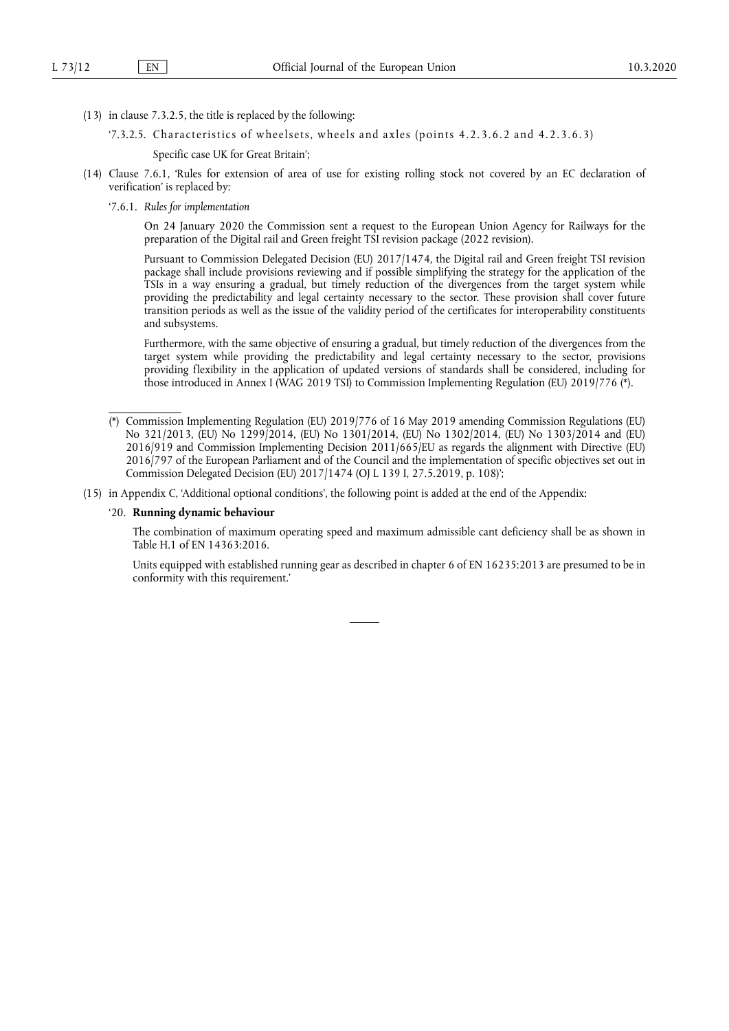- (13) in clause 7.3.2.5, the title is replaced by the following:
	- '7.3.2.5. Characteristics of wheelsets, wheels and axles (points 4.2.3.6.2 and 4.2.3.6.3)

Specific case UK for Great Britain';

- (14) Clause 7.6.1, 'Rules for extension of area of use for existing rolling stock not covered by an EC declaration of verification' is replaced by:
	- '7.6.1. *Rules for implementation*

On 24 January 2020 the Commission sent a request to the European Union Agency for Railways for the preparation of the Digital rail and Green freight TSI revision package (2022 revision).

Pursuant to Commission Delegated Decision (EU) 2017/1474, the Digital rail and Green freight TSI revision package shall include provisions reviewing and if possible simplifying the strategy for the application of the TSIs in a way ensuring a gradual, but timely reduction of the divergences from the target system while providing the predictability and legal certainty necessary to the sector. These provision shall cover future transition periods as well as the issue of the validity period of the certificates for interoperability constituents and subsystems.

Furthermore, with the same objective of ensuring a gradual, but timely reduction of the divergences from the target system while providing the predictability and legal certainty necessary to the sector, provisions providing flexibility in the application of updated versions of standards shall be considered, including for those introduced in Annex I (WAG 2019 TSI) to Commission Implementing Regulation (EU) 2019/776 (\*).

- (\*) Commission Implementing Regulation (EU) 2019/776 of 16 May 2019 amending Commission Regulations (EU) No 321/2013, (EU) No 1299/2014, (EU) No 1301/2014, (EU) No 1302/2014, (EU) No 1303/2014 and (EU) 2016/919 and Commission Implementing Decision 2011/665/EU as regards the alignment with Directive (EU) 2016/797 of the European Parliament and of the Council and the implementation of specific objectives set out in Commission Delegated Decision (EU) 2017/1474 (OJ L 139 I, 27.5.2019, p. 108)';
- (15) in Appendix C, 'Additional optional conditions', the following point is added at the end of the Appendix:

### '20. **Running dynamic behaviour**

\_\_\_\_\_\_\_\_\_\_\_\_\_

The combination of maximum operating speed and maximum admissible cant deficiency shall be as shown in Table H.1 of EN 14363:2016.

Units equipped with established running gear as described in chapter 6 of EN 16235:2013 are presumed to be in conformity with this requirement.'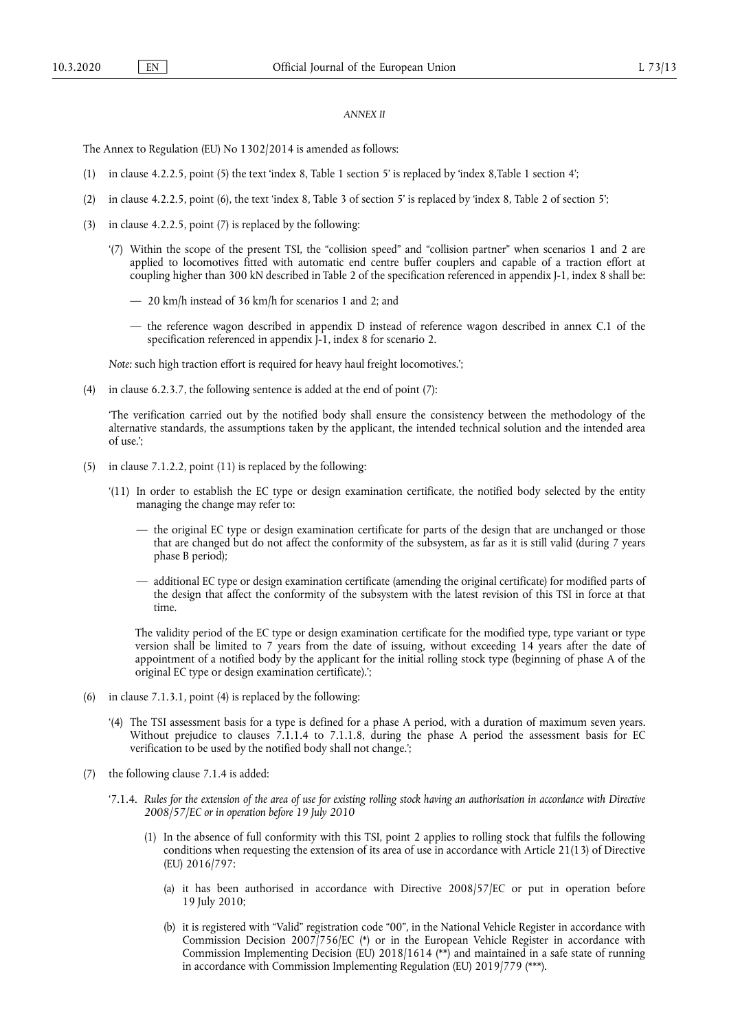### *ANNEX II*

The Annex to Regulation (EU) No 1302/2014 is amended as follows:

- (1) in clause 4.2.2.5, point (5) the text 'index 8, Table 1 section 5' is replaced by 'index 8,Table 1 section 4';
- (2) in clause 4.2.2.5, point (6), the text 'index 8, Table 3 of section 5' is replaced by 'index 8, Table 2 of section 5';
- (3) in clause 4.2.2.5, point (7) is replaced by the following:
	- '(7) Within the scope of the present TSI, the "collision speed" and "collision partner" when scenarios 1 and 2 are applied to locomotives fitted with automatic end centre buffer couplers and capable of a traction effort at coupling higher than 300 kN described in Table 2 of the specification referenced in appendix J-1, index 8 shall be:
		- 20 km/h instead of 36 km/h for scenarios 1 and 2; and
		- the reference wagon described in appendix D instead of reference wagon described in annex C.1 of the specification referenced in appendix J-1, index 8 for scenario 2.

*Note:* such high traction effort is required for heavy haul freight locomotives.';

(4) in clause 6.2.3.7, the following sentence is added at the end of point (7):

'The verification carried out by the notified body shall ensure the consistency between the methodology of the alternative standards, the assumptions taken by the applicant, the intended technical solution and the intended area of use.';

- (5) in clause 7.1.2.2, point (11) is replaced by the following:
	- '(11) In order to establish the EC type or design examination certificate, the notified body selected by the entity managing the change may refer to:
		- the original EC type or design examination certificate for parts of the design that are unchanged or those that are changed but do not affect the conformity of the subsystem, as far as it is still valid (during 7 years phase B period);
		- additional EC type or design examination certificate (amending the original certificate) for modified parts of the design that affect the conformity of the subsystem with the latest revision of this TSI in force at that time.

The validity period of the EC type or design examination certificate for the modified type, type variant or type version shall be limited to 7 years from the date of issuing, without exceeding 14 years after the date of appointment of a notified body by the applicant for the initial rolling stock type (beginning of phase A of the original EC type or design examination certificate).';

- (6) in clause 7.1.3.1, point (4) is replaced by the following:
	- '(4) The TSI assessment basis for a type is defined for a phase A period, with a duration of maximum seven years. Without prejudice to clauses 7.1.1.4 to 7.1.1.8, during the phase A period the assessment basis for EC verification to be used by the notified body shall not change.';
- (7) the following clause 7.1.4 is added:
	- '7.1.4. *Rules for the extension of the area of use for existing rolling stock having an authorisation in accordance with Directive 2008/57/EC or in operation before 19 July 2010* 
		- (1) In the absence of full conformity with this TSI, point 2 applies to rolling stock that fulfils the following conditions when requesting the extension of its area of use in accordance with Article 21(13) of Directive (EU) 2016/797:
			- (a) it has been authorised in accordance with Directive 2008/57/EC or put in operation before 19 July 2010;
			- (b) it is registered with "Valid" registration code "00", in the National Vehicle Register in accordance with Commission Decision 2007/756/EC (\*) or in the European Vehicle Register in accordance with Commission Implementing Decision (EU) 2018/1614 (\*\*) and maintained in a safe state of running in accordance with Commission Implementing Regulation (EU) 2019/779 (\*\*\*).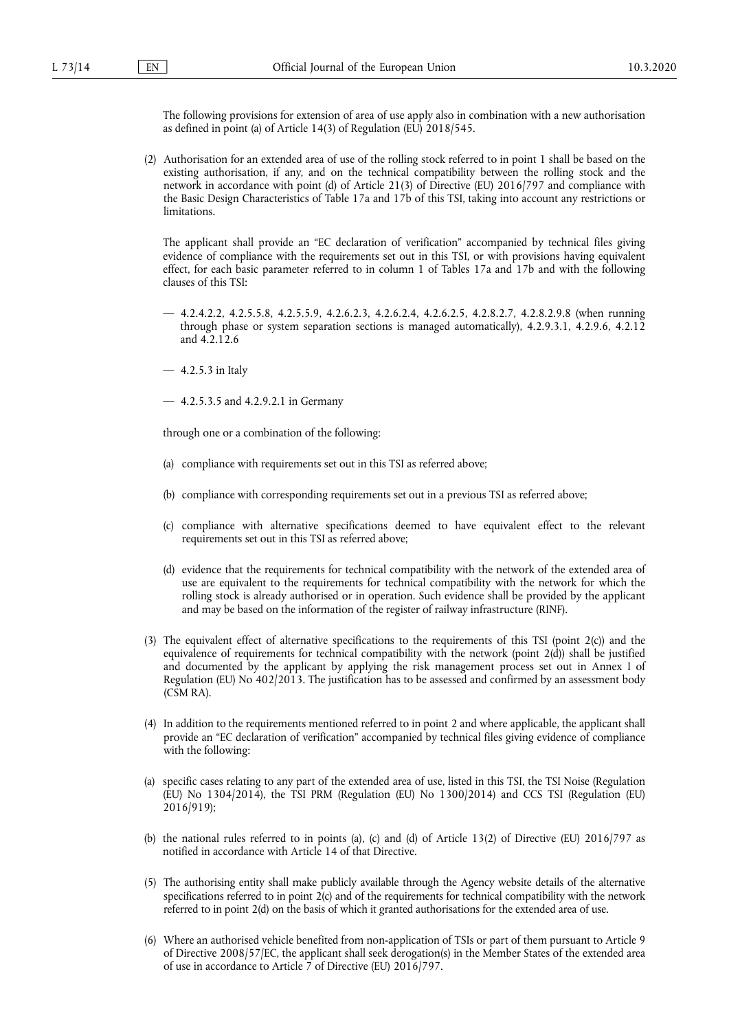The following provisions for extension of area of use apply also in combination with a new authorisation as defined in point (a) of Article 14(3) of Regulation (EU) 2018/545.

(2) Authorisation for an extended area of use of the rolling stock referred to in point 1 shall be based on the existing authorisation, if any, and on the technical compatibility between the rolling stock and the network in accordance with point (d) of Article 21(3) of Directive (EU) 2016/797 and compliance with the Basic Design Characteristics of Table 17a and 17b of this TSI, taking into account any restrictions or **limitations** 

The applicant shall provide an "EC declaration of verification" accompanied by technical files giving evidence of compliance with the requirements set out in this TSI, or with provisions having equivalent effect, for each basic parameter referred to in column 1 of Tables 17a and 17b and with the following clauses of this TSI:

- 4.2.4.2.2, 4.2.5.5.8, 4.2.5.5.9, 4.2.6.2.3, 4.2.6.2.4, 4.2.6.2.5, 4.2.8.2.7, 4.2.8.2.9.8 (when running through phase or system separation sections is managed automatically), 4.2.9.3.1, 4.2.9.6, 4.2.12 and 4.2.12.6
- $-4.2.5.3$  in Italy
- 4.2.5.3.5 and 4.2.9.2.1 in Germany

through one or a combination of the following:

- (a) compliance with requirements set out in this TSI as referred above;
- (b) compliance with corresponding requirements set out in a previous TSI as referred above;
- (c) compliance with alternative specifications deemed to have equivalent effect to the relevant requirements set out in this TSI as referred above;
- (d) evidence that the requirements for technical compatibility with the network of the extended area of use are equivalent to the requirements for technical compatibility with the network for which the rolling stock is already authorised or in operation. Such evidence shall be provided by the applicant and may be based on the information of the register of railway infrastructure (RINF).
- (3) The equivalent effect of alternative specifications to the requirements of this TSI (point 2(c)) and the equivalence of requirements for technical compatibility with the network (point 2(d)) shall be justified and documented by the applicant by applying the risk management process set out in Annex I of Regulation (EU) No 402/2013. The justification has to be assessed and confirmed by an assessment body (CSM RA).
- (4) In addition to the requirements mentioned referred to in point 2 and where applicable, the applicant shall provide an "EC declaration of verification" accompanied by technical files giving evidence of compliance with the following:
- (a) specific cases relating to any part of the extended area of use, listed in this TSI, the TSI Noise (Regulation (EU) No 1304/2014), the TSI PRM (Regulation (EU) No 1300/2014) and CCS TSI (Regulation (EU) 2016/919);
- (b) the national rules referred to in points (a), (c) and (d) of Article  $13(2)$  of Directive (EU)  $2016/797$  as notified in accordance with Article 14 of that Directive.
- (5) The authorising entity shall make publicly available through the Agency website details of the alternative specifications referred to in point 2(c) and of the requirements for technical compatibility with the network referred to in point 2(d) on the basis of which it granted authorisations for the extended area of use.
- (6) Where an authorised vehicle benefited from non-application of TSIs or part of them pursuant to Article 9 of Directive 2008/57/EC, the applicant shall seek derogation(s) in the Member States of the extended area of use in accordance to Article 7 of Directive (EU) 2016/797.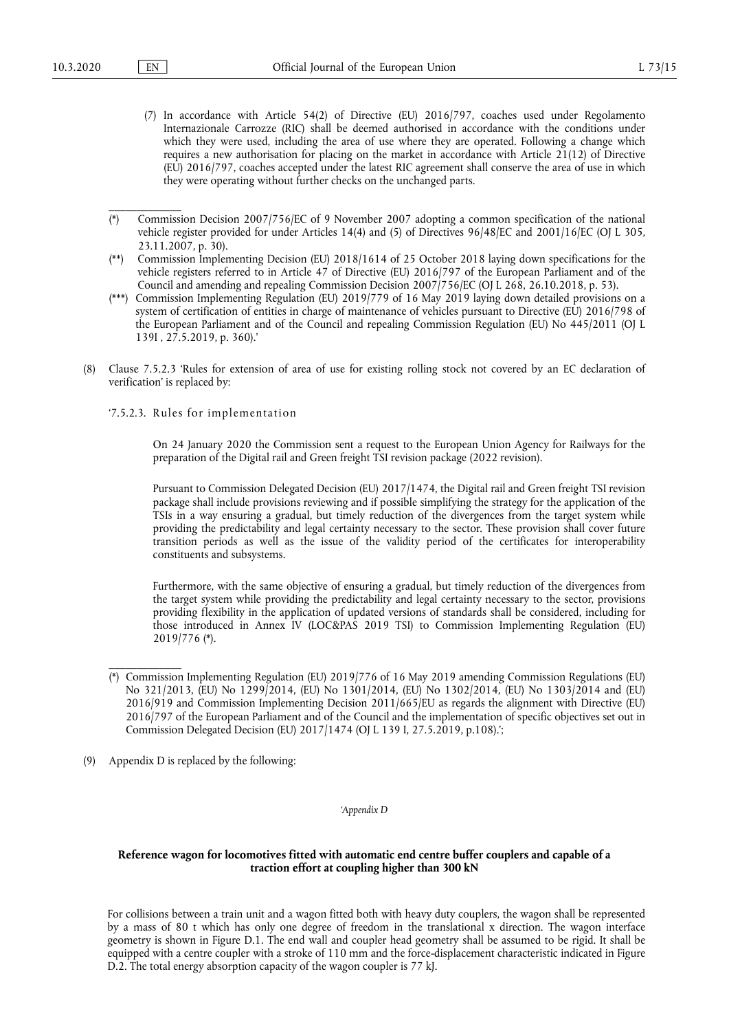\_\_\_\_\_\_\_\_\_\_\_\_\_

- (7) In accordance with Article 54(2) of Directive (EU) 2016/797, coaches used under Regolamento Internazionale Carrozze (RIC) shall be deemed authorised in accordance with the conditions under which they were used, including the area of use where they are operated. Following a change which requires a new authorisation for placing on the market in accordance with Article 21(12) of Directive (EU) 2016/797, coaches accepted under the latest RIC agreement shall conserve the area of use in which they were operating without further checks on the unchanged parts.
- (\*) Commission Decision 2007/756/EC of 9 November 2007 adopting a common specification of the national vehicle register provided for under Articles 14(4) and (5) of Directives 96/48/EC and 2001/16/EC (OJ L 305, 23.11.2007, p. 30).
- (\*\*) Commission Implementing Decision (EU) 2018/1614 of 25 October 2018 laying down specifications for the vehicle registers referred to in Article 47 of Directive (EU) 2016/797 of the European Parliament and of the Council and amending and repealing Commission Decision 2007/756/EC (OJ L 268, 26.10.2018, p. 53).
- (\*\*\*) Commission Implementing Regulation (EU) 2019/779 of 16 May 2019 laying down detailed provisions on a system of certification of entities in charge of maintenance of vehicles pursuant to Directive (EU) 2016/798 of the European Parliament and of the Council and repealing Commission Regulation (EU) No 445/2011 (OJ L 139I , 27.5.2019, p. 360).'
- (8) Clause 7.5.2.3 'Rules for extension of area of use for existing rolling stock not covered by an EC declaration of verification' is replaced by:
	- '7.5.2.3. Rules for implementation

On 24 January 2020 the Commission sent a request to the European Union Agency for Railways for the preparation of the Digital rail and Green freight TSI revision package (2022 revision).

Pursuant to Commission Delegated Decision (EU) 2017/1474, the Digital rail and Green freight TSI revision package shall include provisions reviewing and if possible simplifying the strategy for the application of the TSIs in a way ensuring a gradual, but timely reduction of the divergences from the target system while providing the predictability and legal certainty necessary to the sector. These provision shall cover future transition periods as well as the issue of the validity period of the certificates for interoperability constituents and subsystems.

Furthermore, with the same objective of ensuring a gradual, but timely reduction of the divergences from the target system while providing the predictability and legal certainty necessary to the sector, provisions providing flexibility in the application of updated versions of standards shall be considered, including for those introduced in Annex IV (LOC&PAS 2019 TSI) to Commission Implementing Regulation (EU) 2019/776 (\*).

- (\*) Commission Implementing Regulation (EU) 2019/776 of 16 May 2019 amending Commission Regulations (EU) No 321/2013, (EU) No 1299/2014, (EU) No 1301/2014, (EU) No 1302/2014, (EU) No 1303/2014 and (EU) 2016/919 and Commission Implementing Decision 2011/665/EU as regards the alignment with Directive (EU) 2016/797 of the European Parliament and of the Council and the implementation of specific objectives set out in Commission Delegated Decision (EU) 2017/1474 (OJ L 139 I, 27.5.2019, p.108).';
- (9) Appendix D is replaced by the following:

\_\_\_\_\_\_\_\_\_\_\_\_\_

### *'Appendix D*

### **Reference wagon for locomotives fitted with automatic end centre buffer couplers and capable of a traction effort at coupling higher than 300 kN**

For collisions between a train unit and a wagon fitted both with heavy duty couplers, the wagon shall be represented by a mass of 80 t which has only one degree of freedom in the translational x direction. The wagon interface geometry is shown in Figure D.1. The end wall and coupler head geometry shall be assumed to be rigid. It shall be equipped with a centre coupler with a stroke of 110 mm and the force-displacement characteristic indicated in Figure D.2. The total energy absorption capacity of the wagon coupler is 77 kJ.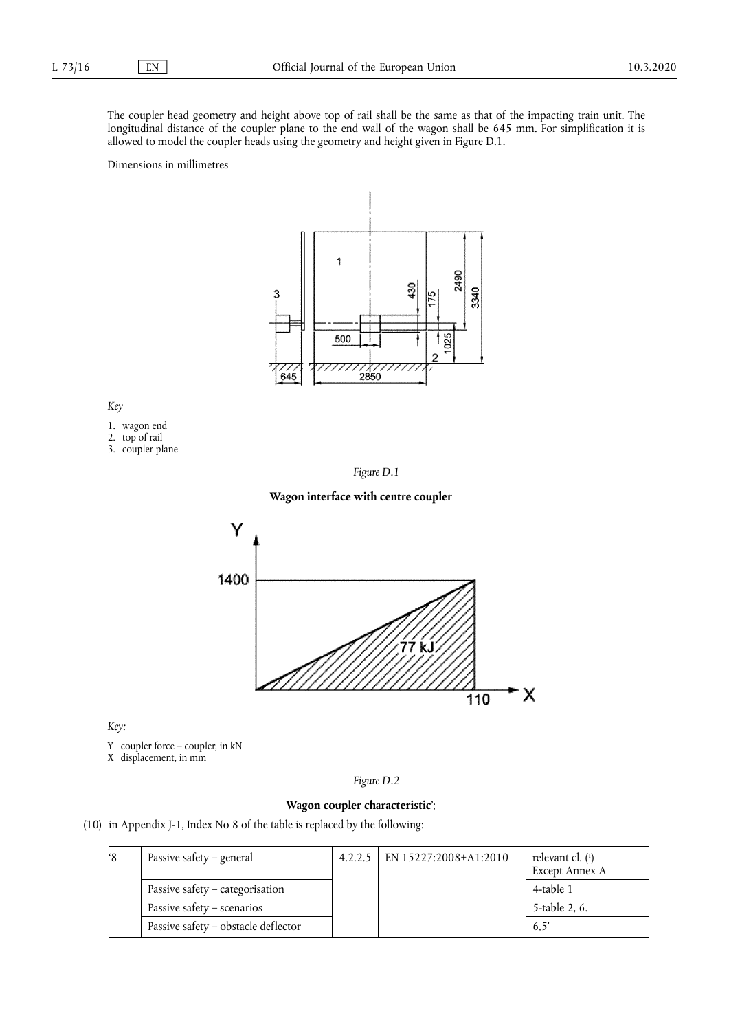The coupler head geometry and height above top of rail shall be the same as that of the impacting train unit. The longitudinal distance of the coupler plane to the end wall of the wagon shall be 645 mm. For simplification it is allowed to model the coupler heads using the geometry and height given in Figure D.1.

Dimensions in millimetres



*Key* 

# 1. wagon end

2. top of rail

3. coupler plane

*Figure D.1* 

# **Wagon interface with centre coupler**



*Key:* 

Y coupler force – coupler, in kN

X displacement, in mm

| our<br>ν |  |
|----------|--|
|----------|--|

# **Wagon coupler characteristic**';

(10) in Appendix J-1, Index No 8 of the table is replaced by the following:

| $^{\circ}8$ | Passive safety – general            | $4.2.2.5$   EN 15227:2008+A1:2010 | relevant cl. $(1)$<br>Except Annex A |
|-------------|-------------------------------------|-----------------------------------|--------------------------------------|
|             | Passive safety – categorisation     |                                   | 4-table 1                            |
|             | Passive safety – scenarios          |                                   | 5-table 2, 6.                        |
|             | Passive safety - obstacle deflector |                                   | 6.5'                                 |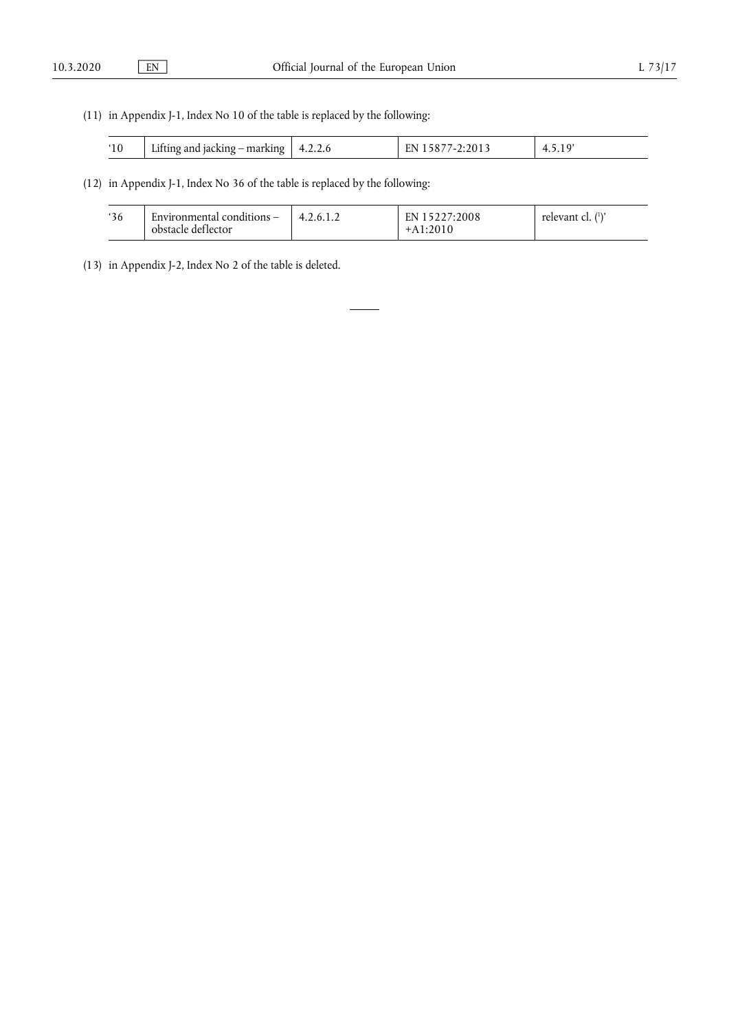(11) in Appendix J-1, Index No 10 of the table is replaced by the following:

| . . | $\cdot$ .<br>marking<br>$ackine -$<br>Lifting and | 1. <b>.</b> | HN. | . |
|-----|---------------------------------------------------|-------------|-----|---|
|-----|---------------------------------------------------|-------------|-----|---|

(12) in Appendix J-1, Index No 36 of the table is replaced by the following:

| 36 | Environmental conditions $-$<br>obstacle deflector | 4.2.6.1.4 | EN 15227:2008<br>$+A1:2010$ | relevant cl. $(1)'$ |
|----|----------------------------------------------------|-----------|-----------------------------|---------------------|
|----|----------------------------------------------------|-----------|-----------------------------|---------------------|

(13) in Appendix J-2, Index No 2 of the table is deleted.